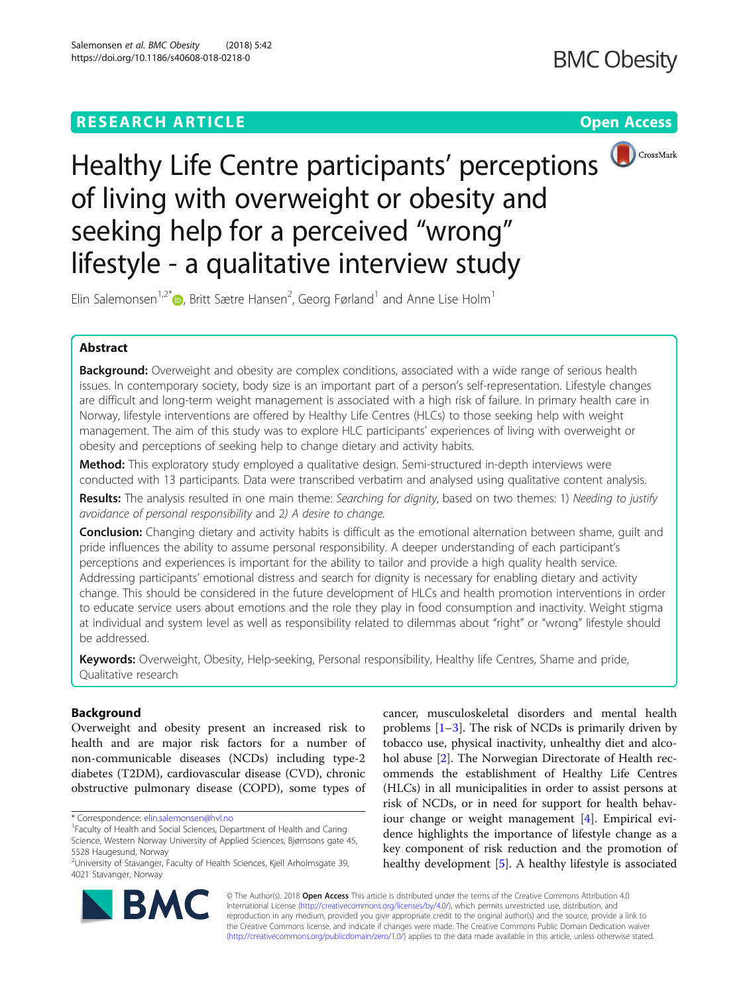



# Healthy Life Centre participants' perceptions of living with overweight or obesity and seeking help for a perceived "wrong" lifestyle - a qualitative interview study

Elin Salemonsen $^{1,2^{\ast}}$  $^{1,2^{\ast}}$  $^{1,2^{\ast}}$  , Britt Sætre Hansen $^{2}$ , Georg Førland $^{1}$  and Anne Lise Holm $^{1}$ 

# Abstract

Background: Overweight and obesity are complex conditions, associated with a wide range of serious health issues. In contemporary society, body size is an important part of a person's self-representation. Lifestyle changes are difficult and long-term weight management is associated with a high risk of failure. In primary health care in Norway, lifestyle interventions are offered by Healthy Life Centres (HLCs) to those seeking help with weight management. The aim of this study was to explore HLC participants' experiences of living with overweight or obesity and perceptions of seeking help to change dietary and activity habits.

Method: This exploratory study employed a qualitative design. Semi-structured in-depth interviews were conducted with 13 participants. Data were transcribed verbatim and analysed using qualitative content analysis.

Results: The analysis resulted in one main theme: Searching for dignity, based on two themes: 1) Needing to justify avoidance of personal responsibility and 2) A desire to change.

**Conclusion:** Changing dietary and activity habits is difficult as the emotional alternation between shame, quilt and pride influences the ability to assume personal responsibility. A deeper understanding of each participant's perceptions and experiences is important for the ability to tailor and provide a high quality health service. Addressing participants' emotional distress and search for dignity is necessary for enabling dietary and activity change. This should be considered in the future development of HLCs and health promotion interventions in order to educate service users about emotions and the role they play in food consumption and inactivity. Weight stigma at individual and system level as well as responsibility related to dilemmas about "right" or "wrong" lifestyle should be addressed.

Keywords: Overweight, Obesity, Help-seeking, Personal responsibility, Healthy life Centres, Shame and pride, Qualitative research

# Background

Overweight and obesity present an increased risk to health and are major risk factors for a number of non-communicable diseases (NCDs) including type-2 diabetes (T2DM), cardiovascular disease (CVD), chronic obstructive pulmonary disease (COPD), some types of

\* Correspondence: [elin.salemonsen@hvl.no](mailto:elin.salemonsen@hvl.no) <sup>1</sup>

cancer, musculoskeletal disorders and mental health problems  $[1-3]$  $[1-3]$  $[1-3]$ . The risk of NCDs is primarily driven by tobacco use, physical inactivity, unhealthy diet and alcohol abuse [\[2](#page-11-0)]. The Norwegian Directorate of Health recommends the establishment of Healthy Life Centres (HLCs) in all municipalities in order to assist persons at risk of NCDs, or in need for support for health behaviour change or weight management [[4\]](#page-11-0). Empirical evidence highlights the importance of lifestyle change as a key component of risk reduction and the promotion of healthy development [[5\]](#page-11-0). A healthy lifestyle is associated



© The Author(s). 2018 Open Access This article is distributed under the terms of the Creative Commons Attribution 4.0 International License [\(http://creativecommons.org/licenses/by/4.0/](http://creativecommons.org/licenses/by/4.0/)), which permits unrestricted use, distribution, and reproduction in any medium, provided you give appropriate credit to the original author(s) and the source, provide a link to the Creative Commons license, and indicate if changes were made. The Creative Commons Public Domain Dedication waiver [\(http://creativecommons.org/publicdomain/zero/1.0/](http://creativecommons.org/publicdomain/zero/1.0/)) applies to the data made available in this article, unless otherwise stated.

<sup>&</sup>lt;sup>1</sup> Faculty of Health and Social Sciences, Department of Health and Caring Science, Western Norway University of Applied Sciences, Bjørnsons gate 45, 5528 Haugesund, Norway

<sup>&</sup>lt;sup>2</sup>University of Stavanger, Faculty of Health Sciences, Kjell Arholmsgate 39, 4021 Stavanger, Norway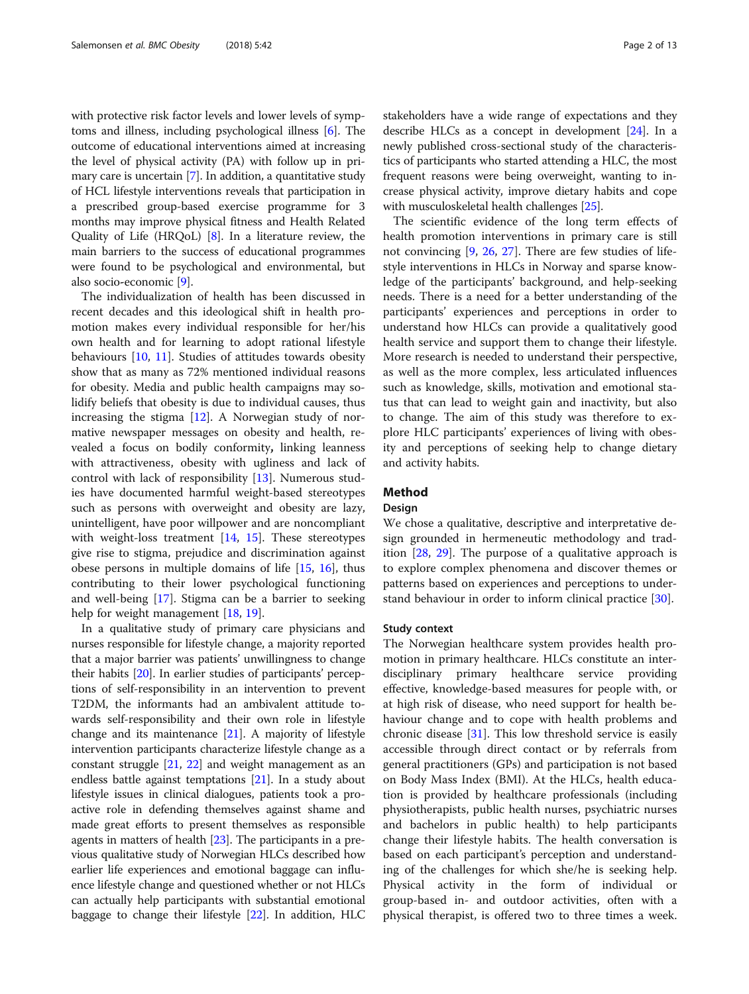with protective risk factor levels and lower levels of symptoms and illness, including psychological illness [[6](#page-11-0)]. The outcome of educational interventions aimed at increasing the level of physical activity (PA) with follow up in primary care is uncertain [\[7\]](#page-11-0). In addition, a quantitative study of HCL lifestyle interventions reveals that participation in a prescribed group-based exercise programme for 3 months may improve physical fitness and Health Related Quality of Life (HRQoL) [[8\]](#page-11-0). In a literature review, the main barriers to the success of educational programmes were found to be psychological and environmental, but also socio-economic [[9](#page-11-0)].

The individualization of health has been discussed in recent decades and this ideological shift in health promotion makes every individual responsible for her/his own health and for learning to adopt rational lifestyle behaviours [[10](#page-11-0), [11](#page-11-0)]. Studies of attitudes towards obesity show that as many as 72% mentioned individual reasons for obesity. Media and public health campaigns may solidify beliefs that obesity is due to individual causes, thus increasing the stigma [\[12](#page-11-0)]. A Norwegian study of normative newspaper messages on obesity and health, revealed a focus on bodily conformity, linking leanness with attractiveness, obesity with ugliness and lack of control with lack of responsibility [[13\]](#page-11-0). Numerous studies have documented harmful weight-based stereotypes such as persons with overweight and obesity are lazy, unintelligent, have poor willpower and are noncompliant with weight-loss treatment [\[14](#page-11-0), [15](#page-11-0)]. These stereotypes give rise to stigma, prejudice and discrimination against obese persons in multiple domains of life [\[15,](#page-11-0) [16\]](#page-11-0), thus contributing to their lower psychological functioning and well-being [\[17\]](#page-11-0). Stigma can be a barrier to seeking help for weight management [\[18](#page-11-0), [19](#page-11-0)].

In a qualitative study of primary care physicians and nurses responsible for lifestyle change, a majority reported that a major barrier was patients' unwillingness to change their habits [[20](#page-11-0)]. In earlier studies of participants' perceptions of self-responsibility in an intervention to prevent T2DM, the informants had an ambivalent attitude towards self-responsibility and their own role in lifestyle change and its maintenance [[21](#page-11-0)]. A majority of lifestyle intervention participants characterize lifestyle change as a constant struggle  $[21, 22]$  $[21, 22]$  $[21, 22]$  $[21, 22]$  and weight management as an endless battle against temptations [[21](#page-11-0)]. In a study about lifestyle issues in clinical dialogues, patients took a proactive role in defending themselves against shame and made great efforts to present themselves as responsible agents in matters of health [\[23\]](#page-11-0). The participants in a previous qualitative study of Norwegian HLCs described how earlier life experiences and emotional baggage can influence lifestyle change and questioned whether or not HLCs can actually help participants with substantial emotional baggage to change their lifestyle [\[22\]](#page-11-0). In addition, HLC stakeholders have a wide range of expectations and they describe HLCs as a concept in development [\[24\]](#page-11-0). In a newly published cross-sectional study of the characteristics of participants who started attending a HLC, the most frequent reasons were being overweight, wanting to increase physical activity, improve dietary habits and cope with musculoskeletal health challenges [\[25\]](#page-11-0).

The scientific evidence of the long term effects of health promotion interventions in primary care is still not convincing [\[9](#page-11-0), [26,](#page-11-0) [27](#page-11-0)]. There are few studies of lifestyle interventions in HLCs in Norway and sparse knowledge of the participants' background, and help-seeking needs. There is a need for a better understanding of the participants' experiences and perceptions in order to understand how HLCs can provide a qualitatively good health service and support them to change their lifestyle. More research is needed to understand their perspective, as well as the more complex, less articulated influences such as knowledge, skills, motivation and emotional status that can lead to weight gain and inactivity, but also to change. The aim of this study was therefore to explore HLC participants' experiences of living with obesity and perceptions of seeking help to change dietary and activity habits.

# Method

### Design

We chose a qualitative, descriptive and interpretative design grounded in hermeneutic methodology and tradition [[28,](#page-11-0) [29\]](#page-11-0). The purpose of a qualitative approach is to explore complex phenomena and discover themes or patterns based on experiences and perceptions to understand behaviour in order to inform clinical practice [[30\]](#page-11-0).

## Study context

The Norwegian healthcare system provides health promotion in primary healthcare. HLCs constitute an interdisciplinary primary healthcare service providing effective, knowledge-based measures for people with, or at high risk of disease, who need support for health behaviour change and to cope with health problems and chronic disease [[31](#page-11-0)]. This low threshold service is easily accessible through direct contact or by referrals from general practitioners (GPs) and participation is not based on Body Mass Index (BMI). At the HLCs, health education is provided by healthcare professionals (including physiotherapists, public health nurses, psychiatric nurses and bachelors in public health) to help participants change their lifestyle habits. The health conversation is based on each participant's perception and understanding of the challenges for which she/he is seeking help. Physical activity in the form of individual or group-based in- and outdoor activities, often with a physical therapist, is offered two to three times a week.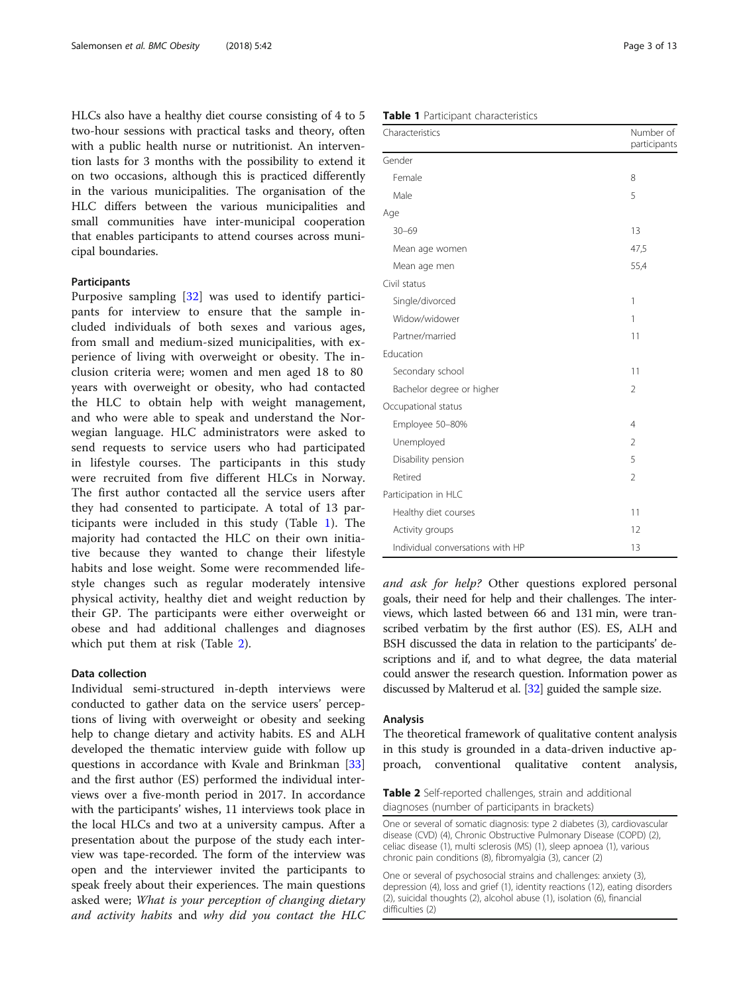<span id="page-2-0"></span>HLCs also have a healthy diet course consisting of 4 to 5 two-hour sessions with practical tasks and theory, often with a public health nurse or nutritionist. An intervention lasts for 3 months with the possibility to extend it on two occasions, although this is practiced differently in the various municipalities. The organisation of the HLC differs between the various municipalities and small communities have inter-municipal cooperation that enables participants to attend courses across municipal boundaries.

# Participants

Purposive sampling [\[32](#page-11-0)] was used to identify participants for interview to ensure that the sample included individuals of both sexes and various ages, from small and medium-sized municipalities, with experience of living with overweight or obesity. The inclusion criteria were; women and men aged 18 to 80 years with overweight or obesity, who had contacted the HLC to obtain help with weight management, and who were able to speak and understand the Norwegian language. HLC administrators were asked to send requests to service users who had participated in lifestyle courses. The participants in this study were recruited from five different HLCs in Norway. The first author contacted all the service users after they had consented to participate. A total of 13 participants were included in this study (Table 1). The majority had contacted the HLC on their own initiative because they wanted to change their lifestyle habits and lose weight. Some were recommended lifestyle changes such as regular moderately intensive physical activity, healthy diet and weight reduction by their GP. The participants were either overweight or obese and had additional challenges and diagnoses which put them at risk (Table 2).

# Data collection

Individual semi-structured in-depth interviews were conducted to gather data on the service users' perceptions of living with overweight or obesity and seeking help to change dietary and activity habits. ES and ALH developed the thematic interview guide with follow up questions in accordance with Kvale and Brinkman [[33](#page-11-0)] and the first author (ES) performed the individual interviews over a five-month period in 2017. In accordance with the participants' wishes, 11 interviews took place in the local HLCs and two at a university campus. After a presentation about the purpose of the study each interview was tape-recorded. The form of the interview was open and the interviewer invited the participants to speak freely about their experiences. The main questions asked were; What is your perception of changing dietary and activity habits and why did you contact the HLC

|  |  | Table 1 Participant characteristics |
|--|--|-------------------------------------|
|--|--|-------------------------------------|

| Characteristics                  | Number of<br>participants |
|----------------------------------|---------------------------|
| Gender                           |                           |
| Female                           | 8                         |
| Male                             | 5                         |
| Age                              |                           |
| $30 - 69$                        | 13                        |
| Mean age women                   | 47,5                      |
| Mean age men                     | 55,4                      |
| Civil status                     |                           |
| Single/divorced                  | 1                         |
| Widow/widower                    | 1                         |
| Partner/married                  | 11                        |
| Education                        |                           |
| Secondary school                 | 11                        |
| Bachelor degree or higher        | $\overline{2}$            |
| Occupational status              |                           |
| Employee 50-80%                  | $\overline{4}$            |
| Unemployed                       | $\overline{2}$            |
| Disability pension               | 5                         |
| Retired                          | $\overline{2}$            |
| Participation in HLC             |                           |
| Healthy diet courses             | 11                        |
| Activity groups                  | 12                        |
| Individual conversations with HP | 13                        |

and ask for help? Other questions explored personal goals, their need for help and their challenges. The interviews, which lasted between 66 and 131 min, were transcribed verbatim by the first author (ES). ES, ALH and BSH discussed the data in relation to the participants' descriptions and if, and to what degree, the data material could answer the research question. Information power as discussed by Malterud et al. [[32](#page-11-0)] guided the sample size.

#### Analysis

The theoretical framework of qualitative content analysis in this study is grounded in a data-driven inductive approach, conventional qualitative content analysis,

One or several of somatic diagnosis: type 2 diabetes (3), cardiovascular disease (CVD) (4), Chronic Obstructive Pulmonary Disease (COPD) (2), celiac disease (1), multi sclerosis (MS) (1), sleep apnoea (1), various chronic pain conditions (8), fibromyalgia (3), cancer (2)

One or several of psychosocial strains and challenges: anxiety (3), depression (4), loss and grief (1), identity reactions (12), eating disorders (2), suicidal thoughts (2), alcohol abuse (1), isolation (6), financial difficulties (2)

Table 2 Self-reported challenges, strain and additional diagnoses (number of participants in brackets)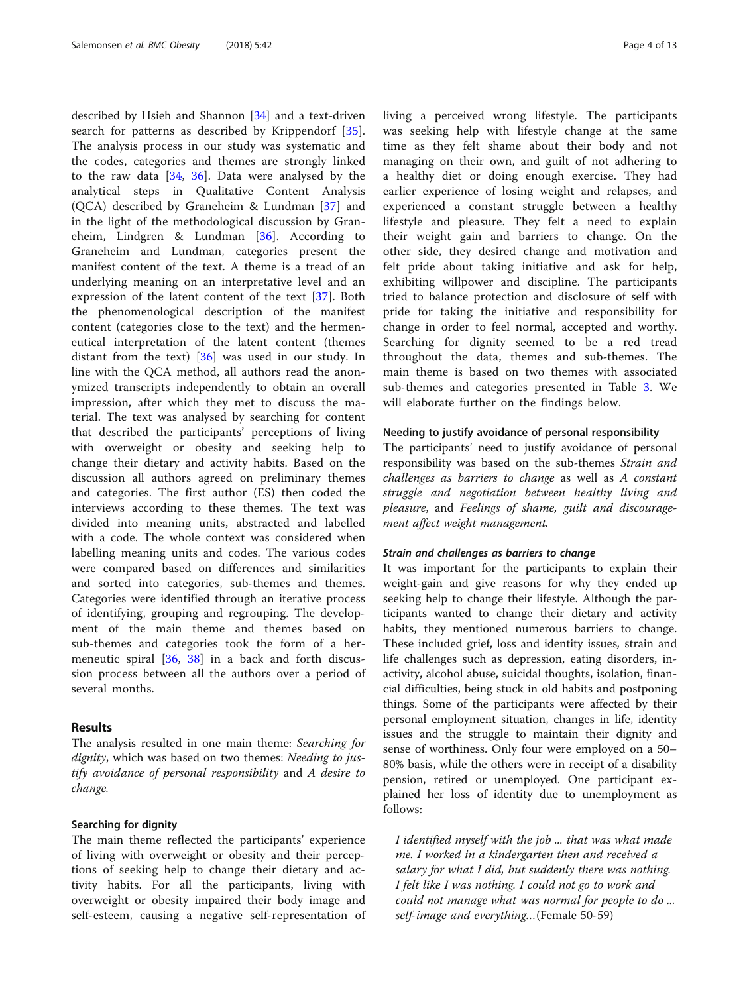described by Hsieh and Shannon [[34\]](#page-11-0) and a text-driven search for patterns as described by Krippendorf [\[35](#page-11-0)]. The analysis process in our study was systematic and the codes, categories and themes are strongly linked to the raw data  $[34, 36]$  $[34, 36]$  $[34, 36]$  $[34, 36]$  $[34, 36]$ . Data were analysed by the analytical steps in Qualitative Content Analysis (QCA) described by Graneheim & Lundman [[37\]](#page-11-0) and in the light of the methodological discussion by Graneheim, Lindgren & Lundman [[36\]](#page-11-0). According to Graneheim and Lundman, categories present the manifest content of the text. A theme is a tread of an underlying meaning on an interpretative level and an expression of the latent content of the text [\[37](#page-11-0)]. Both the phenomenological description of the manifest content (categories close to the text) and the hermeneutical interpretation of the latent content (themes distant from the text) [\[36](#page-11-0)] was used in our study. In line with the QCA method, all authors read the anonymized transcripts independently to obtain an overall impression, after which they met to discuss the material. The text was analysed by searching for content that described the participants' perceptions of living with overweight or obesity and seeking help to change their dietary and activity habits. Based on the discussion all authors agreed on preliminary themes and categories. The first author (ES) then coded the interviews according to these themes. The text was divided into meaning units, abstracted and labelled with a code. The whole context was considered when labelling meaning units and codes. The various codes were compared based on differences and similarities and sorted into categories, sub-themes and themes. Categories were identified through an iterative process of identifying, grouping and regrouping. The development of the main theme and themes based on sub-themes and categories took the form of a hermeneutic spiral [[36,](#page-11-0) [38](#page-11-0)] in a back and forth discussion process between all the authors over a period of several months.

# Results

The analysis resulted in one main theme: Searching for dignity, which was based on two themes: Needing to justify avoidance of personal responsibility and A desire to change.

#### Searching for dignity

The main theme reflected the participants' experience of living with overweight or obesity and their perceptions of seeking help to change their dietary and activity habits. For all the participants, living with overweight or obesity impaired their body image and self-esteem, causing a negative self-representation of living a perceived wrong lifestyle. The participants was seeking help with lifestyle change at the same time as they felt shame about their body and not managing on their own, and guilt of not adhering to a healthy diet or doing enough exercise. They had earlier experience of losing weight and relapses, and experienced a constant struggle between a healthy lifestyle and pleasure. They felt a need to explain their weight gain and barriers to change. On the other side, they desired change and motivation and felt pride about taking initiative and ask for help, exhibiting willpower and discipline. The participants tried to balance protection and disclosure of self with pride for taking the initiative and responsibility for change in order to feel normal, accepted and worthy. Searching for dignity seemed to be a red tread throughout the data, themes and sub-themes. The main theme is based on two themes with associated sub-themes and categories presented in Table [3.](#page-4-0) We will elaborate further on the findings below.

## Needing to justify avoidance of personal responsibility

The participants' need to justify avoidance of personal responsibility was based on the sub-themes Strain and challenges as barriers to change as well as A constant struggle and negotiation between healthy living and pleasure, and Feelings of shame, guilt and discouragement affect weight management.

## Strain and challenges as barriers to change

It was important for the participants to explain their weight-gain and give reasons for why they ended up seeking help to change their lifestyle. Although the participants wanted to change their dietary and activity habits, they mentioned numerous barriers to change. These included grief, loss and identity issues, strain and life challenges such as depression, eating disorders, inactivity, alcohol abuse, suicidal thoughts, isolation, financial difficulties, being stuck in old habits and postponing things. Some of the participants were affected by their personal employment situation, changes in life, identity issues and the struggle to maintain their dignity and sense of worthiness. Only four were employed on a 50– 80% basis, while the others were in receipt of a disability pension, retired or unemployed. One participant explained her loss of identity due to unemployment as follows:

I identified myself with the job ... that was what made me. I worked in a kindergarten then and received a salary for what I did, but suddenly there was nothing. I felt like I was nothing. I could not go to work and could not manage what was normal for people to do ... self-image and everything…(Female 50-59)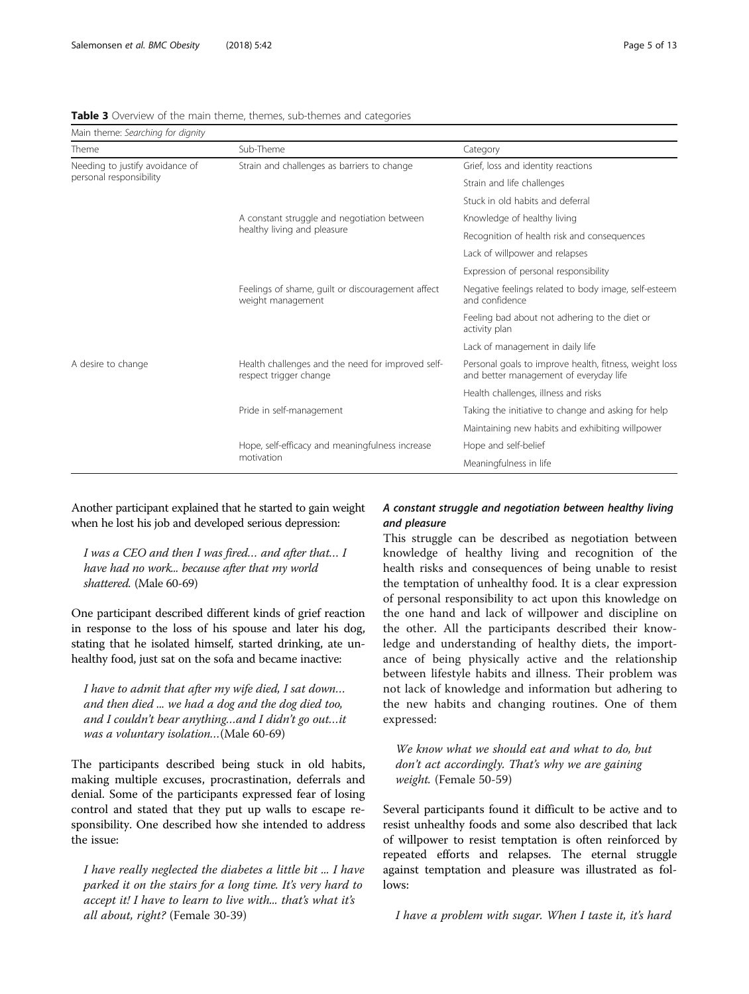| Main theme: Searching for dignity                          |                                                                             |                                                                                                  |
|------------------------------------------------------------|-----------------------------------------------------------------------------|--------------------------------------------------------------------------------------------------|
| Theme                                                      | Sub-Theme                                                                   | Category                                                                                         |
| Needing to justify avoidance of<br>personal responsibility | Strain and challenges as barriers to change                                 | Grief, loss and identity reactions                                                               |
|                                                            |                                                                             | Strain and life challenges                                                                       |
|                                                            |                                                                             | Stuck in old habits and deferral                                                                 |
|                                                            | A constant struggle and negotiation between<br>healthy living and pleasure  | Knowledge of healthy living                                                                      |
|                                                            |                                                                             | Recognition of health risk and consequences                                                      |
|                                                            |                                                                             | Lack of willpower and relapses                                                                   |
|                                                            |                                                                             | Expression of personal responsibility                                                            |
|                                                            | Feelings of shame, guilt or discouragement affect<br>weight management      | Negative feelings related to body image, self-esteem<br>and confidence                           |
|                                                            |                                                                             | Feeling bad about not adhering to the diet or<br>activity plan                                   |
|                                                            |                                                                             | Lack of management in daily life                                                                 |
| A desire to change                                         | Health challenges and the need for improved self-<br>respect trigger change | Personal goals to improve health, fitness, weight loss<br>and better management of everyday life |
|                                                            |                                                                             | Health challenges, illness and risks                                                             |
|                                                            | Pride in self-management                                                    | Taking the initiative to change and asking for help                                              |
|                                                            |                                                                             | Maintaining new habits and exhibiting willpower                                                  |
|                                                            | Hope, self-efficacy and meaningfulness increase<br>motivation               | Hope and self-belief                                                                             |
|                                                            |                                                                             | Meaningfulness in life                                                                           |

## <span id="page-4-0"></span>Table 3 Overview of the main theme, themes, sub-themes and categories

Another participant explained that he started to gain weight when he lost his job and developed serious depression:

I was a CEO and then I was fired… and after that… I have had no work... because after that my world shattered. (Male 60-69)

One participant described different kinds of grief reaction in response to the loss of his spouse and later his dog, stating that he isolated himself, started drinking, ate unhealthy food, just sat on the sofa and became inactive:

I have to admit that after my wife died, I sat down… and then died ... we had a dog and the dog died too, and I couldn't bear anything…and I didn't go out…it was a voluntary isolation…(Male 60-69)

The participants described being stuck in old habits, making multiple excuses, procrastination, deferrals and denial. Some of the participants expressed fear of losing control and stated that they put up walls to escape responsibility. One described how she intended to address the issue:

I have really neglected the diabetes a little bit ... I have parked it on the stairs for a long time. It's very hard to accept it! I have to learn to live with... that's what it's all about, right? (Female 30-39)

# A constant struggle and negotiation between healthy living and pleasure

This struggle can be described as negotiation between knowledge of healthy living and recognition of the health risks and consequences of being unable to resist the temptation of unhealthy food. It is a clear expression of personal responsibility to act upon this knowledge on the one hand and lack of willpower and discipline on the other. All the participants described their knowledge and understanding of healthy diets, the importance of being physically active and the relationship between lifestyle habits and illness. Their problem was not lack of knowledge and information but adhering to the new habits and changing routines. One of them expressed:

We know what we should eat and what to do, but don't act accordingly. That's why we are gaining weight. (Female 50-59)

Several participants found it difficult to be active and to resist unhealthy foods and some also described that lack of willpower to resist temptation is often reinforced by repeated efforts and relapses. The eternal struggle against temptation and pleasure was illustrated as follows:

I have a problem with sugar. When I taste it, it's hard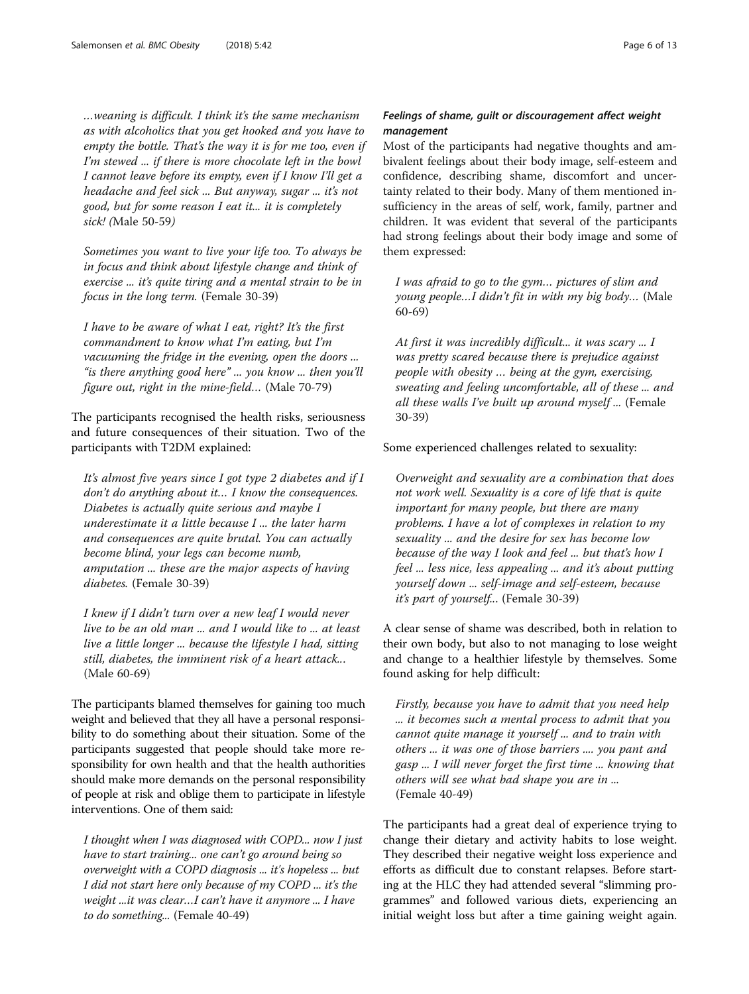…weaning is difficult. I think it's the same mechanism as with alcoholics that you get hooked and you have to empty the bottle. That's the way it is for me too, even if I'm stewed ... if there is more chocolate left in the bowl I cannot leave before its empty, even if I know I'll get a headache and feel sick ... But anyway, sugar ... it's not good, but for some reason I eat it... it is completely sick! (Male 50-59)

Sometimes you want to live your life too. To always be in focus and think about lifestyle change and think of exercise ... it's quite tiring and a mental strain to be in focus in the long term. (Female 30-39)

I have to be aware of what I eat, right? It's the first commandment to know what I'm eating, but I'm vacuuming the fridge in the evening, open the doors ... "is there anything good here" ... you know ... then you'll figure out, right in the mine-field… (Male 70-79)

The participants recognised the health risks, seriousness and future consequences of their situation. Two of the participants with T2DM explained:

It's almost five years since  $I$  got type 2 diabetes and if  $I$ don't do anything about it… I know the consequences. Diabetes is actually quite serious and maybe I underestimate it a little because I ... the later harm and consequences are quite brutal. You can actually become blind, your legs can become numb, amputation ... these are the major aspects of having diabetes. (Female 30-39)

I knew if I didn't turn over a new leaf I would never live to be an old man ... and I would like to ... at least live a little longer ... because the lifestyle I had, sitting still, diabetes, the imminent risk of a heart attack... (Male 60-69)

The participants blamed themselves for gaining too much weight and believed that they all have a personal responsibility to do something about their situation. Some of the participants suggested that people should take more responsibility for own health and that the health authorities should make more demands on the personal responsibility of people at risk and oblige them to participate in lifestyle interventions. One of them said:

I thought when I was diagnosed with COPD... now I just have to start training... one can't go around being so overweight with a COPD diagnosis ... it's hopeless ... but I did not start here only because of my COPD ... it's the weight ...it was clear…I can't have it anymore ... I have to do something... (Female 40-49)

# Feelings of shame, guilt or discouragement affect weight management

Most of the participants had negative thoughts and ambivalent feelings about their body image, self-esteem and confidence, describing shame, discomfort and uncertainty related to their body. Many of them mentioned insufficiency in the areas of self, work, family, partner and children. It was evident that several of the participants had strong feelings about their body image and some of them expressed:

I was afraid to go to the gym… pictures of slim and young people…I didn't fit in with my big body… (Male 60-69)

At first it was incredibly difficult... it was scary ... I was pretty scared because there is prejudice against people with obesity … being at the gym, exercising, sweating and feeling uncomfortable, all of these ... and all these walls I've built up around myself ... (Female 30-39)

Some experienced challenges related to sexuality:

Overweight and sexuality are a combination that does not work well. Sexuality is a core of life that is quite important for many people, but there are many problems. I have a lot of complexes in relation to my sexuality ... and the desire for sex has become low because of the way I look and feel ... but that's how I feel ... less nice, less appealing ... and it's about putting yourself down ... self-image and self-esteem, because it's part of yourself... (Female 30-39)

A clear sense of shame was described, both in relation to their own body, but also to not managing to lose weight and change to a healthier lifestyle by themselves. Some found asking for help difficult:

Firstly, because you have to admit that you need help ... it becomes such a mental process to admit that you cannot quite manage it yourself ... and to train with others ... it was one of those barriers .... you pant and gasp ... I will never forget the first time ... knowing that others will see what bad shape you are in ... (Female 40-49)

The participants had a great deal of experience trying to change their dietary and activity habits to lose weight. They described their negative weight loss experience and efforts as difficult due to constant relapses. Before starting at the HLC they had attended several "slimming programmes" and followed various diets, experiencing an initial weight loss but after a time gaining weight again.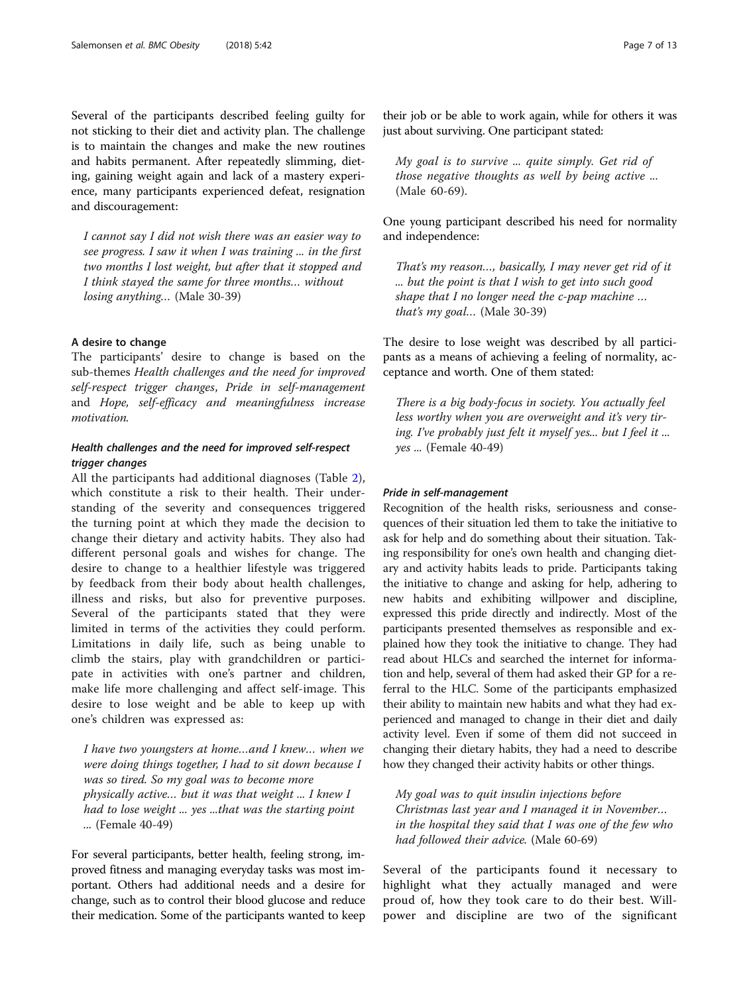Several of the participants described feeling guilty for not sticking to their diet and activity plan. The challenge is to maintain the changes and make the new routines and habits permanent. After repeatedly slimming, dieting, gaining weight again and lack of a mastery experience, many participants experienced defeat, resignation and discouragement:

I cannot say I did not wish there was an easier way to see progress. I saw it when I was training ... in the first two months I lost weight, but after that it stopped and I think stayed the same for three months… without losing anything… (Male 30-39)

## A desire to change

The participants' desire to change is based on the sub-themes Health challenges and the need for improved self-respect trigger changes, Pride in self-management and Hope, self-efficacy and meaningfulness increase motivation.

# Health challenges and the need for improved self-respect trigger changes

All the participants had additional diagnoses (Table [2](#page-2-0)), which constitute a risk to their health. Their understanding of the severity and consequences triggered the turning point at which they made the decision to change their dietary and activity habits. They also had different personal goals and wishes for change. The desire to change to a healthier lifestyle was triggered by feedback from their body about health challenges, illness and risks, but also for preventive purposes. Several of the participants stated that they were limited in terms of the activities they could perform. Limitations in daily life, such as being unable to climb the stairs, play with grandchildren or participate in activities with one's partner and children, make life more challenging and affect self-image. This desire to lose weight and be able to keep up with one's children was expressed as:

I have two youngsters at home…and I knew… when we were doing things together, I had to sit down because I was so tired. So my goal was to become more physically active… but it was that weight ... I knew I had to lose weight ... yes ...that was the starting point ... (Female 40-49)

For several participants, better health, feeling strong, improved fitness and managing everyday tasks was most important. Others had additional needs and a desire for change, such as to control their blood glucose and reduce their medication. Some of the participants wanted to keep

their job or be able to work again, while for others it was just about surviving. One participant stated:

My goal is to survive ... quite simply. Get rid of those negative thoughts as well by being active ... (Male 60-69).

One young participant described his need for normality and independence:

That's my reason…, basically, I may never get rid of it ... but the point is that I wish to get into such good shape that I no longer need the c-pap machine … that's my goal… (Male 30-39)

The desire to lose weight was described by all participants as a means of achieving a feeling of normality, acceptance and worth. One of them stated:

There is a big body-focus in society. You actually feel less worthy when you are overweight and it's very tiring. I've probably just felt it myself yes... but I feel it ... yes ... (Female 40-49)

### Pride in self-management

Recognition of the health risks, seriousness and consequences of their situation led them to take the initiative to ask for help and do something about their situation. Taking responsibility for one's own health and changing dietary and activity habits leads to pride. Participants taking the initiative to change and asking for help, adhering to new habits and exhibiting willpower and discipline, expressed this pride directly and indirectly. Most of the participants presented themselves as responsible and explained how they took the initiative to change. They had read about HLCs and searched the internet for information and help, several of them had asked their GP for a referral to the HLC. Some of the participants emphasized their ability to maintain new habits and what they had experienced and managed to change in their diet and daily activity level. Even if some of them did not succeed in changing their dietary habits, they had a need to describe how they changed their activity habits or other things.

My goal was to quit insulin injections before Christmas last year and I managed it in November… in the hospital they said that I was one of the few who had followed their advice. (Male 60-69)

Several of the participants found it necessary to highlight what they actually managed and were proud of, how they took care to do their best. Willpower and discipline are two of the significant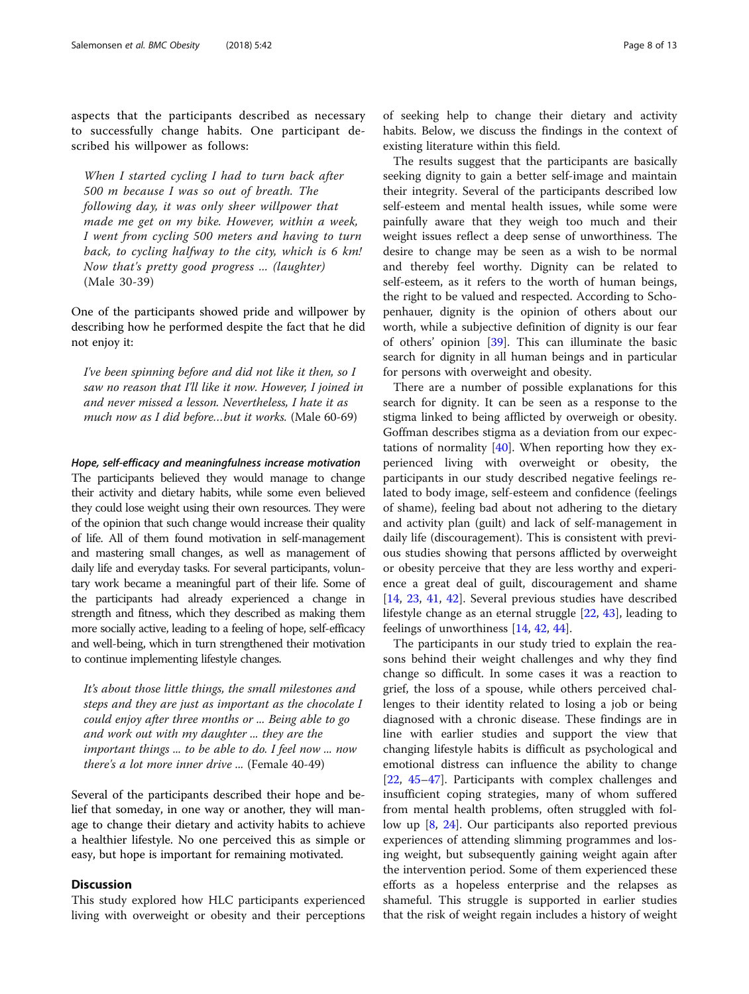aspects that the participants described as necessary to successfully change habits. One participant described his willpower as follows:

When I started cycling I had to turn back after 500 m because I was so out of breath. The following day, it was only sheer willpower that made me get on my bike. However, within a week, I went from cycling 500 meters and having to turn back, to cycling halfway to the city, which is 6 km! Now that's pretty good progress ... (laughter) (Male 30-39)

One of the participants showed pride and willpower by describing how he performed despite the fact that he did not enjoy it:

I've been spinning before and did not like it then, so I saw no reason that I'll like it now. However, I joined in and never missed a lesson. Nevertheless, I hate it as much now as I did before…but it works. (Male 60-69)

### Hope, self-efficacy and meaningfulness increase motivation

The participants believed they would manage to change their activity and dietary habits, while some even believed they could lose weight using their own resources. They were of the opinion that such change would increase their quality of life. All of them found motivation in self-management and mastering small changes, as well as management of daily life and everyday tasks. For several participants, voluntary work became a meaningful part of their life. Some of the participants had already experienced a change in strength and fitness, which they described as making them more socially active, leading to a feeling of hope, self-efficacy and well-being, which in turn strengthened their motivation to continue implementing lifestyle changes.

It's about those little things, the small milestones and steps and they are just as important as the chocolate I could enjoy after three months or ... Being able to go and work out with my daughter ... they are the important things ... to be able to do. I feel now ... now there's a lot more inner drive ... (Female 40-49)

Several of the participants described their hope and belief that someday, in one way or another, they will manage to change their dietary and activity habits to achieve a healthier lifestyle. No one perceived this as simple or easy, but hope is important for remaining motivated.

# **Discussion**

This study explored how HLC participants experienced living with overweight or obesity and their perceptions

of seeking help to change their dietary and activity habits. Below, we discuss the findings in the context of existing literature within this field.

The results suggest that the participants are basically seeking dignity to gain a better self-image and maintain their integrity. Several of the participants described low self-esteem and mental health issues, while some were painfully aware that they weigh too much and their weight issues reflect a deep sense of unworthiness. The desire to change may be seen as a wish to be normal and thereby feel worthy. Dignity can be related to self-esteem, as it refers to the worth of human beings, the right to be valued and respected. According to Schopenhauer, dignity is the opinion of others about our worth, while a subjective definition of dignity is our fear of others' opinion [\[39](#page-11-0)]. This can illuminate the basic search for dignity in all human beings and in particular for persons with overweight and obesity.

There are a number of possible explanations for this search for dignity. It can be seen as a response to the stigma linked to being afflicted by overweigh or obesity. Goffman describes stigma as a deviation from our expectations of normality [\[40](#page-11-0)]. When reporting how they experienced living with overweight or obesity, the participants in our study described negative feelings related to body image, self-esteem and confidence (feelings of shame), feeling bad about not adhering to the dietary and activity plan (guilt) and lack of self-management in daily life (discouragement). This is consistent with previous studies showing that persons afflicted by overweight or obesity perceive that they are less worthy and experience a great deal of guilt, discouragement and shame [[14,](#page-11-0) [23](#page-11-0), [41](#page-11-0), [42](#page-12-0)]. Several previous studies have described lifestyle change as an eternal struggle [[22](#page-11-0), [43](#page-12-0)], leading to feelings of unworthiness [\[14,](#page-11-0) [42,](#page-12-0) [44\]](#page-12-0).

The participants in our study tried to explain the reasons behind their weight challenges and why they find change so difficult. In some cases it was a reaction to grief, the loss of a spouse, while others perceived challenges to their identity related to losing a job or being diagnosed with a chronic disease. These findings are in line with earlier studies and support the view that changing lifestyle habits is difficult as psychological and emotional distress can influence the ability to change [[22,](#page-11-0) [45](#page-12-0)–[47](#page-12-0)]. Participants with complex challenges and insufficient coping strategies, many of whom suffered from mental health problems, often struggled with follow up [\[8](#page-11-0), [24](#page-11-0)]. Our participants also reported previous experiences of attending slimming programmes and losing weight, but subsequently gaining weight again after the intervention period. Some of them experienced these efforts as a hopeless enterprise and the relapses as shameful. This struggle is supported in earlier studies that the risk of weight regain includes a history of weight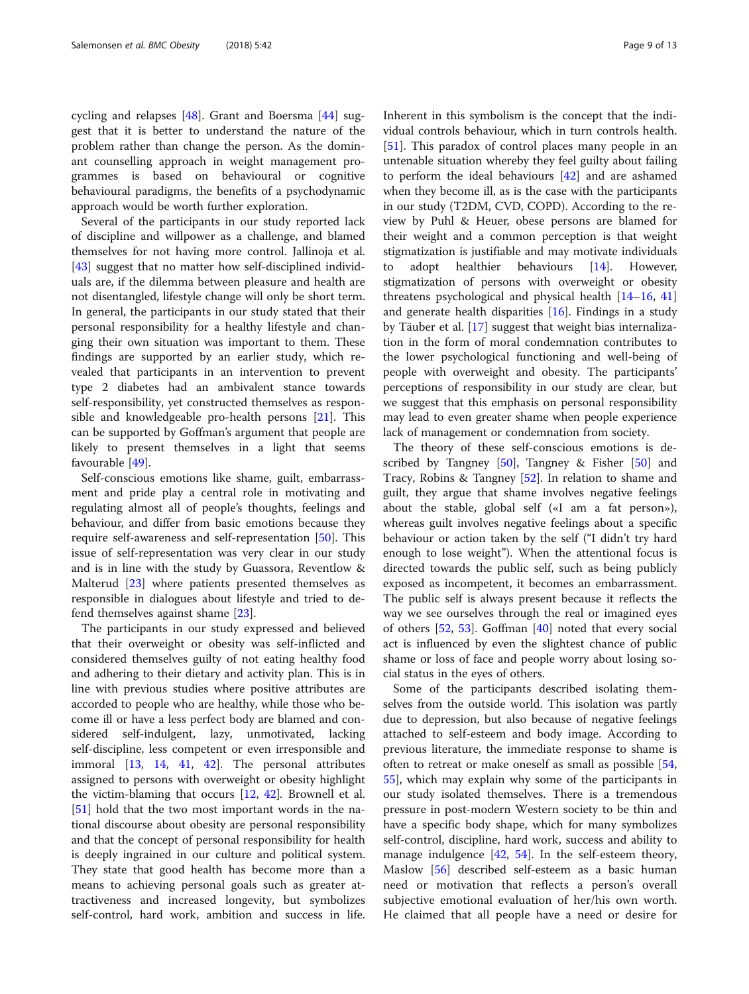cycling and relapses [[48](#page-12-0)]. Grant and Boersma [\[44](#page-12-0)] suggest that it is better to understand the nature of the problem rather than change the person. As the dominant counselling approach in weight management programmes is based on behavioural or cognitive behavioural paradigms, the benefits of a psychodynamic approach would be worth further exploration.

Several of the participants in our study reported lack of discipline and willpower as a challenge, and blamed themselves for not having more control. Jallinoja et al. [[43\]](#page-12-0) suggest that no matter how self-disciplined individuals are, if the dilemma between pleasure and health are not disentangled, lifestyle change will only be short term. In general, the participants in our study stated that their personal responsibility for a healthy lifestyle and changing their own situation was important to them. These findings are supported by an earlier study, which revealed that participants in an intervention to prevent type 2 diabetes had an ambivalent stance towards self-responsibility, yet constructed themselves as responsible and knowledgeable pro-health persons [\[21](#page-11-0)]. This can be supported by Goffman's argument that people are likely to present themselves in a light that seems favourable [\[49\]](#page-12-0).

Self-conscious emotions like shame, guilt, embarrassment and pride play a central role in motivating and regulating almost all of people's thoughts, feelings and behaviour, and differ from basic emotions because they require self-awareness and self-representation [[50](#page-12-0)]. This issue of self-representation was very clear in our study and is in line with the study by Guassora, Reventlow & Malterud [[23\]](#page-11-0) where patients presented themselves as responsible in dialogues about lifestyle and tried to defend themselves against shame [[23](#page-11-0)].

The participants in our study expressed and believed that their overweight or obesity was self-inflicted and considered themselves guilty of not eating healthy food and adhering to their dietary and activity plan. This is in line with previous studies where positive attributes are accorded to people who are healthy, while those who become ill or have a less perfect body are blamed and considered self-indulgent, lazy, unmotivated, lacking self-discipline, less competent or even irresponsible and immoral [\[13](#page-11-0), [14](#page-11-0), [41](#page-11-0), [42\]](#page-12-0). The personal attributes assigned to persons with overweight or obesity highlight the victim-blaming that occurs [[12,](#page-11-0) [42\]](#page-12-0). Brownell et al. [[51\]](#page-12-0) hold that the two most important words in the national discourse about obesity are personal responsibility and that the concept of personal responsibility for health is deeply ingrained in our culture and political system. They state that good health has become more than a means to achieving personal goals such as greater attractiveness and increased longevity, but symbolizes self-control, hard work, ambition and success in life. Inherent in this symbolism is the concept that the individual controls behaviour, which in turn controls health. [[51\]](#page-12-0). This paradox of control places many people in an untenable situation whereby they feel guilty about failing to perform the ideal behaviours [\[42](#page-12-0)] and are ashamed when they become ill, as is the case with the participants in our study (T2DM, CVD, COPD). According to the review by Puhl & Heuer, obese persons are blamed for their weight and a common perception is that weight stigmatization is justifiable and may motivate individuals to adopt healthier behaviours [\[14\]](#page-11-0). However, stigmatization of persons with overweight or obesity threatens psychological and physical health [[14](#page-11-0)–[16](#page-11-0), [41](#page-11-0)] and generate health disparities [\[16\]](#page-11-0). Findings in a study by Täuber et al. [\[17](#page-11-0)] suggest that weight bias internalization in the form of moral condemnation contributes to the lower psychological functioning and well-being of people with overweight and obesity. The participants' perceptions of responsibility in our study are clear, but we suggest that this emphasis on personal responsibility may lead to even greater shame when people experience lack of management or condemnation from society.

The theory of these self-conscious emotions is described by Tangney  $[50]$  $[50]$ , Tangney & Fisher  $[50]$  and Tracy, Robins & Tangney [[52\]](#page-12-0). In relation to shame and guilt, they argue that shame involves negative feelings about the stable, global self («I am a fat person»), whereas guilt involves negative feelings about a specific behaviour or action taken by the self ("I didn't try hard enough to lose weight"). When the attentional focus is directed towards the public self, such as being publicly exposed as incompetent, it becomes an embarrassment. The public self is always present because it reflects the way we see ourselves through the real or imagined eyes of others [[52,](#page-12-0) [53\]](#page-12-0). Goffman [[40\]](#page-11-0) noted that every social act is influenced by even the slightest chance of public shame or loss of face and people worry about losing social status in the eyes of others.

Some of the participants described isolating themselves from the outside world. This isolation was partly due to depression, but also because of negative feelings attached to self-esteem and body image. According to previous literature, the immediate response to shame is often to retreat or make oneself as small as possible [[54](#page-12-0), [55\]](#page-12-0), which may explain why some of the participants in our study isolated themselves. There is a tremendous pressure in post-modern Western society to be thin and have a specific body shape, which for many symbolizes self-control, discipline, hard work, success and ability to manage indulgence [\[42,](#page-12-0) [54](#page-12-0)]. In the self-esteem theory, Maslow [\[56](#page-12-0)] described self-esteem as a basic human need or motivation that reflects a person's overall subjective emotional evaluation of her/his own worth. He claimed that all people have a need or desire for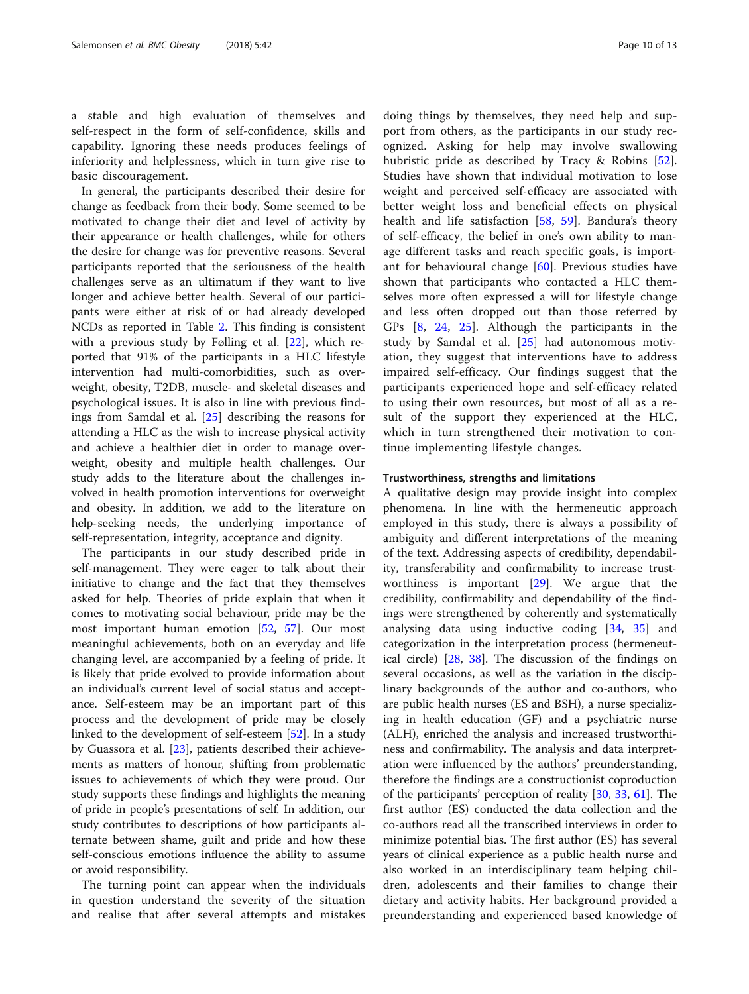a stable and high evaluation of themselves and self-respect in the form of self-confidence, skills and capability. Ignoring these needs produces feelings of inferiority and helplessness, which in turn give rise to basic discouragement.

In general, the participants described their desire for change as feedback from their body. Some seemed to be motivated to change their diet and level of activity by their appearance or health challenges, while for others the desire for change was for preventive reasons. Several participants reported that the seriousness of the health challenges serve as an ultimatum if they want to live longer and achieve better health. Several of our participants were either at risk of or had already developed NCDs as reported in Table [2.](#page-2-0) This finding is consistent with a previous study by Følling et al. [[22\]](#page-11-0), which reported that 91% of the participants in a HLC lifestyle intervention had multi-comorbidities, such as overweight, obesity, T2DB, muscle- and skeletal diseases and psychological issues. It is also in line with previous findings from Samdal et al. [[25](#page-11-0)] describing the reasons for attending a HLC as the wish to increase physical activity and achieve a healthier diet in order to manage overweight, obesity and multiple health challenges. Our study adds to the literature about the challenges involved in health promotion interventions for overweight and obesity. In addition, we add to the literature on help-seeking needs, the underlying importance of self-representation, integrity, acceptance and dignity.

The participants in our study described pride in self-management. They were eager to talk about their initiative to change and the fact that they themselves asked for help. Theories of pride explain that when it comes to motivating social behaviour, pride may be the most important human emotion [\[52,](#page-12-0) [57](#page-12-0)]. Our most meaningful achievements, both on an everyday and life changing level, are accompanied by a feeling of pride. It is likely that pride evolved to provide information about an individual's current level of social status and acceptance. Self-esteem may be an important part of this process and the development of pride may be closely linked to the development of self-esteem [[52\]](#page-12-0). In a study by Guassora et al. [[23\]](#page-11-0), patients described their achievements as matters of honour, shifting from problematic issues to achievements of which they were proud. Our study supports these findings and highlights the meaning of pride in people's presentations of self. In addition, our study contributes to descriptions of how participants alternate between shame, guilt and pride and how these self-conscious emotions influence the ability to assume or avoid responsibility.

The turning point can appear when the individuals in question understand the severity of the situation and realise that after several attempts and mistakes

doing things by themselves, they need help and support from others, as the participants in our study recognized. Asking for help may involve swallowing hubristic pride as described by Tracy & Robins [\[52](#page-12-0)]. Studies have shown that individual motivation to lose weight and perceived self-efficacy are associated with better weight loss and beneficial effects on physical health and life satisfaction [[58,](#page-12-0) [59](#page-12-0)]. Bandura's theory of self-efficacy, the belief in one's own ability to manage different tasks and reach specific goals, is important for behavioural change [\[60](#page-12-0)]. Previous studies have shown that participants who contacted a HLC themselves more often expressed a will for lifestyle change and less often dropped out than those referred by GPs [[8,](#page-11-0) [24](#page-11-0), [25](#page-11-0)]. Although the participants in the study by Samdal et al. [\[25\]](#page-11-0) had autonomous motivation, they suggest that interventions have to address impaired self-efficacy. Our findings suggest that the participants experienced hope and self-efficacy related to using their own resources, but most of all as a result of the support they experienced at the HLC, which in turn strengthened their motivation to continue implementing lifestyle changes.

### Trustworthiness, strengths and limitations

A qualitative design may provide insight into complex phenomena. In line with the hermeneutic approach employed in this study, there is always a possibility of ambiguity and different interpretations of the meaning of the text. Addressing aspects of credibility, dependability, transferability and confirmability to increase trustworthiness is important [\[29](#page-11-0)]. We argue that the credibility, confirmability and dependability of the findings were strengthened by coherently and systematically analysing data using inductive coding [[34](#page-11-0), [35](#page-11-0)] and categorization in the interpretation process (hermeneutical circle) [\[28](#page-11-0), [38\]](#page-11-0). The discussion of the findings on several occasions, as well as the variation in the disciplinary backgrounds of the author and co-authors, who are public health nurses (ES and BSH), a nurse specializing in health education (GF) and a psychiatric nurse (ALH), enriched the analysis and increased trustworthiness and confirmability. The analysis and data interpretation were influenced by the authors' preunderstanding, therefore the findings are a constructionist coproduction of the participants' perception of reality [\[30,](#page-11-0) [33,](#page-11-0) [61\]](#page-12-0). The first author (ES) conducted the data collection and the co-authors read all the transcribed interviews in order to minimize potential bias. The first author (ES) has several years of clinical experience as a public health nurse and also worked in an interdisciplinary team helping children, adolescents and their families to change their dietary and activity habits. Her background provided a preunderstanding and experienced based knowledge of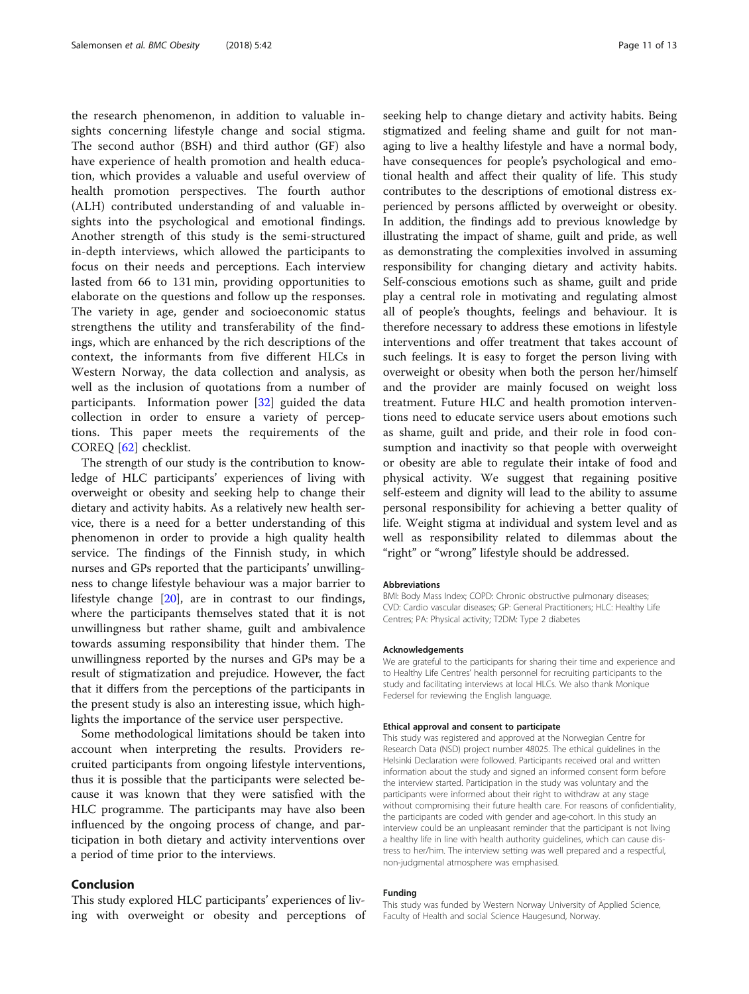the research phenomenon, in addition to valuable insights concerning lifestyle change and social stigma. The second author (BSH) and third author (GF) also have experience of health promotion and health education, which provides a valuable and useful overview of health promotion perspectives. The fourth author (ALH) contributed understanding of and valuable insights into the psychological and emotional findings. Another strength of this study is the semi-structured in-depth interviews, which allowed the participants to focus on their needs and perceptions. Each interview lasted from 66 to 131 min, providing opportunities to elaborate on the questions and follow up the responses. The variety in age, gender and socioeconomic status strengthens the utility and transferability of the findings, which are enhanced by the rich descriptions of the context, the informants from five different HLCs in Western Norway, the data collection and analysis, as well as the inclusion of quotations from a number of participants. Information power [\[32](#page-11-0)] guided the data collection in order to ensure a variety of perceptions. This paper meets the requirements of the COREQ [[62\]](#page-12-0) checklist.

The strength of our study is the contribution to knowledge of HLC participants' experiences of living with overweight or obesity and seeking help to change their dietary and activity habits. As a relatively new health service, there is a need for a better understanding of this phenomenon in order to provide a high quality health service. The findings of the Finnish study, in which nurses and GPs reported that the participants' unwillingness to change lifestyle behaviour was a major barrier to lifestyle change [[20](#page-11-0)], are in contrast to our findings, where the participants themselves stated that it is not unwillingness but rather shame, guilt and ambivalence towards assuming responsibility that hinder them. The unwillingness reported by the nurses and GPs may be a result of stigmatization and prejudice. However, the fact that it differs from the perceptions of the participants in the present study is also an interesting issue, which highlights the importance of the service user perspective.

Some methodological limitations should be taken into account when interpreting the results. Providers recruited participants from ongoing lifestyle interventions, thus it is possible that the participants were selected because it was known that they were satisfied with the HLC programme. The participants may have also been influenced by the ongoing process of change, and participation in both dietary and activity interventions over a period of time prior to the interviews.

# Conclusion

This study explored HLC participants' experiences of living with overweight or obesity and perceptions of seeking help to change dietary and activity habits. Being stigmatized and feeling shame and guilt for not managing to live a healthy lifestyle and have a normal body, have consequences for people's psychological and emotional health and affect their quality of life. This study contributes to the descriptions of emotional distress experienced by persons afflicted by overweight or obesity. In addition, the findings add to previous knowledge by illustrating the impact of shame, guilt and pride, as well as demonstrating the complexities involved in assuming responsibility for changing dietary and activity habits. Self-conscious emotions such as shame, guilt and pride play a central role in motivating and regulating almost all of people's thoughts, feelings and behaviour. It is therefore necessary to address these emotions in lifestyle interventions and offer treatment that takes account of such feelings. It is easy to forget the person living with overweight or obesity when both the person her/himself and the provider are mainly focused on weight loss treatment. Future HLC and health promotion interventions need to educate service users about emotions such as shame, guilt and pride, and their role in food consumption and inactivity so that people with overweight or obesity are able to regulate their intake of food and physical activity. We suggest that regaining positive self-esteem and dignity will lead to the ability to assume personal responsibility for achieving a better quality of life. Weight stigma at individual and system level and as well as responsibility related to dilemmas about the "right" or "wrong" lifestyle should be addressed.

#### Abbreviations

BMI: Body Mass Index; COPD: Chronic obstructive pulmonary diseases; CVD: Cardio vascular diseases; GP: General Practitioners; HLC: Healthy Life Centres; PA: Physical activity; T2DM: Type 2 diabetes

#### Acknowledgements

We are grateful to the participants for sharing their time and experience and to Healthy Life Centres' health personnel for recruiting participants to the study and facilitating interviews at local HLCs. We also thank Monique Federsel for reviewing the English language.

#### Ethical approval and consent to participate

This study was registered and approved at the Norwegian Centre for Research Data (NSD) project number 48025. The ethical guidelines in the Helsinki Declaration were followed. Participants received oral and written information about the study and signed an informed consent form before the interview started. Participation in the study was voluntary and the participants were informed about their right to withdraw at any stage without compromising their future health care. For reasons of confidentiality, the participants are coded with gender and age-cohort. In this study an interview could be an unpleasant reminder that the participant is not living a healthy life in line with health authority guidelines, which can cause distress to her/him. The interview setting was well prepared and a respectful, non-judgmental atmosphere was emphasised.

#### Funding

This study was funded by Western Norway University of Applied Science, Faculty of Health and social Science Haugesund, Norway.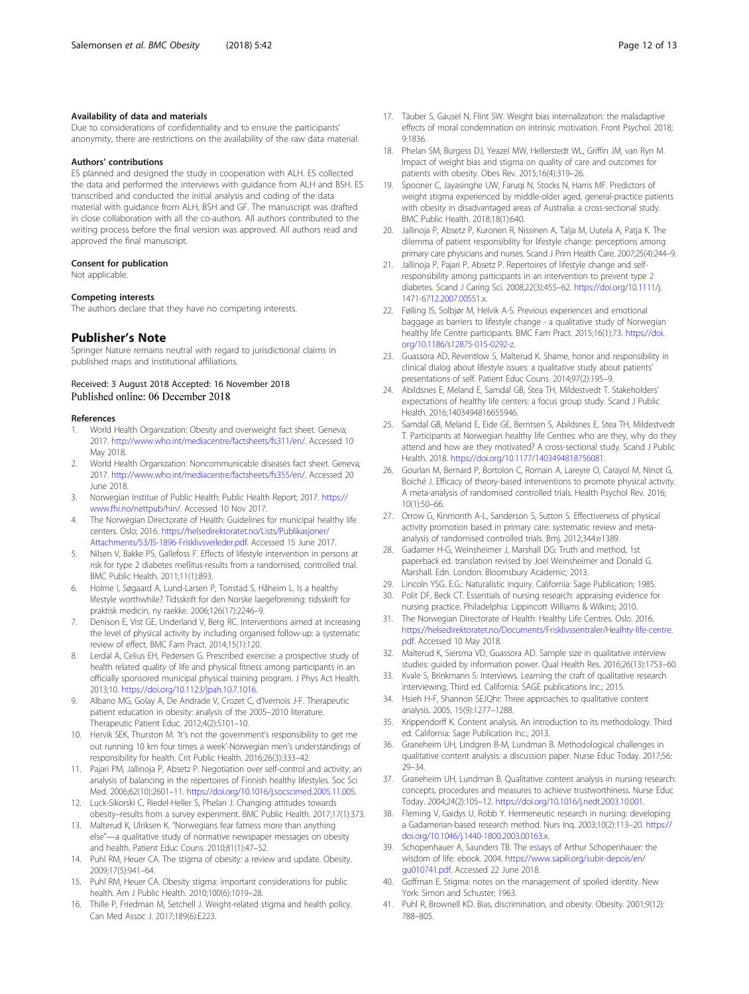#### <span id="page-11-0"></span>Availability of data and materials

Due to considerations of confidentiality and to ensure the participants' anonymity, there are restrictions on the availability of the raw data material.

#### Authors' contributions

ES planned and designed the study in cooperation with ALH. ES collected the data and performed the interviews with guidance from ALH and BSH. ES transcribed and conducted the initial analysis and coding of the data material with guidance from ALH, BSH and GF. The manuscript was drafted in close collaboration with all the co-authors. All authors contributed to the writing process before the final version was approved. All authors read and approved the final manuscript.

#### Consent for publication

Not applicable.

#### Competing interests

The authors declare that they have no competing interests.

#### Publisher's Note

Springer Nature remains neutral with regard to jurisdictional claims in published maps and institutional affiliations.

### Received: 3 August 2018 Accepted: 16 November 2018 Published online: 06 December 2018

#### References

- 1. World Health Organization: Obesity and overweight fact sheet. Geneva; 2017. [http://www.who.int/mediacentre/factsheets/fs311/en/.](http://www.who.int/mediacentre/factsheets/fs311/en/) Accessed 10 May 2018.
- 2. World Health Organization: Noncommunicable diseases fact sheet. Geneva; 2017. [http://www.who.int/mediacentre/factsheets/fs355/en/.](http://www.who.int/mediacentre/factsheets/fs355/en/) Accessed 20 June 2018.
- 3. Norwegian Institue of Public Health: Public Health Report; 2017. [https://](https://www.fhi.no/nettpub/hin/) [www.fhi.no/nettpub/hin/](https://www.fhi.no/nettpub/hin/). Accessed 10 Nov 2017.
- 4. The Norwegian Directorate of Health: Guidelines for municipal healthy life centers. Oslo; 2016. [https://helsedirektoratet.no/Lists/Publikasjoner/](https://helsedirektoratet.no/Lists/Publikasjoner/Attachments/53/IS-1896-Frisklivsveileder.pdf) [Attachments/53/IS-1896-Frisklivsveileder.pdf](https://helsedirektoratet.no/Lists/Publikasjoner/Attachments/53/IS-1896-Frisklivsveileder.pdf). Accessed 15 June 2017.
- 5. Nilsen V, Bakke PS, Gallefoss F. Effects of lifestyle intervention in persons at risk for type 2 diabetes mellitus-results from a randomised, controlled trial. BMC Public Health. 2011;11(1):893.
- 6. Holme I, Søgaard A, Lund-Larsen P, Tonstad S, Håheim L. Is a healthy lifestyle worthwhile? Tidsskrift for den Norske laegeforening: tidsskrift for praktisk medicin, ny raekke. 2006;126(17):2246–9.
- 7. Denison E, Vist GE, Underland V, Berg RC. Interventions aimed at increasing the level of physical activity by including organised follow-up: a systematic review of effect. BMC Fam Pract. 2014;15(1):120.
- Lerdal A, Celius EH, Pedersen G. Prescribed exercise: a prospective study of health related quality of life and physical fitness among participants in an officially sponsored municipal physical training program. J Phys Act Health. 2013;10. [https://doi.org/10.1123/jpah.10.7.1016.](https://doi.org/10.1123/jpah.10.7.1016)
- 9. Albano MG, Golay A, De Andrade V, Crozet C, d'Ivernois J-F. Therapeutic patient education in obesity: analysis of the 2005–2010 literature. Therapeutic Patient Educ. 2012;4(2):S101–10.
- 10. Hervik SEK, Thurston M. 'It's not the government's responsibility to get me out running 10 km four times a week'-Norwegian men's understandings of responsibility for health. Crit Public Health. 2016;26(3):333–42.
- 11. Pajari PM, Jallinoja P, Absetz P. Negotiation over self-control and activity: an analysis of balancing in the repertoires of Finnish healthy lifestyles. Soc Sci Med. 2006;62(10):2601–11. <https://doi.org/10.1016/j.socscimed.2005.11.005>.
- 12. Luck-Sikorski C, Riedel-Heller S, Phelan J. Changing attitudes towards obesity–results from a survey experiment. BMC Public Health. 2017;17(1):373.
- 13. Malterud K, Ulriksen K. "Norwegians fear fatness more than anything else"—a qualitative study of normative newspaper messages on obesity and health. Patient Educ Couns. 2010;81(1):47–52.
- 14. Puhl RM, Heuer CA. The stigma of obesity: a review and update. Obesity. 2009;17(5):941–64.
- 15. Puhl RM, Heuer CA. Obesity stigma: important considerations for public health. Am J Public Health. 2010;100(6):1019–28.
- 16. Thille P, Friedman M, Setchell J. Weight-related stigma and health policy. Can Med Assoc J. 2017;189(6):E223.
- 17. Täuber S, Gausel N, Flint SW. Weight bias internalization: the maladaptive effects of moral condemnation on intrinsic motivation. Front Psychol. 2018; 9:1836.
- 18. Phelan SM, Burgess DJ, Yeazel MW, Hellerstedt WL, Griffin JM, van Ryn M. Impact of weight bias and stigma on quality of care and outcomes for patients with obesity. Obes Rev. 2015;16(4):319–26.
- 19. Spooner C, Jayasinghe UW, Faruqi N, Stocks N, Harris MF. Predictors of weight stigma experienced by middle-older aged, general-practice patients with obesity in disadvantaged areas of Australia: a cross-sectional study. BMC Public Health. 2018;18(1):640.
- 20. Jallinoja P, Absetz P, Kuronen R, Nissinen A, Talja M, Uutela A, Patja K. The dilemma of patient responsibility for lifestyle change: perceptions among primary care physicians and nurses. Scand J Prim Health Care. 2007;25(4):244–9.
- 21. Jallinoja P, Pajari P, Absetz P. Repertoires of lifestyle change and selfresponsibility among participants in an intervention to prevent type 2 diabetes. Scand J Caring Sci. 2008;22(3):455–62. [https://doi.org/10.1111/j.](https://doi.org/10.1111/j.1471-6712.2007.00551.x) [1471-6712.2007.00551.x](https://doi.org/10.1111/j.1471-6712.2007.00551.x).
- 22. Følling IS, Solbjør M, Helvik A-S. Previous experiences and emotional baggage as barriers to lifestyle change - a qualitative study of Norwegian healthy life Centre participants. BMC Fam Pract. 2015;16(1):73. [https://doi.](https://doi.org/10.1186/s12875-015-0292-z) [org/10.1186/s12875-015-0292-z.](https://doi.org/10.1186/s12875-015-0292-z)
- 23. Guassora AD, Reventlow S, Malterud K. Shame, honor and responsibility in clinical dialog about lifestyle issues: a qualitative study about patients' presentations of self. Patient Educ Couns. 2014;97(2):195–9.
- 24. Abildsnes E, Meland E, Samdal GB, Stea TH, Mildestvedt T. Stakeholders' expectations of healthy life centers: a focus group study. Scand J Public Health. 2016;1403494816655946.
- 25. Samdal GB, Meland E, Eide GE, Berntsen S, Abildsnes E, Stea TH, Mildestvedt T. Participants at Norwegian healthy life Centres: who are they, why do they attend and how are they motivated? A cross-sectional study. Scand J Public Health. 2018. <https://doi.org/10.1177/1403494818756081>.
- 26. Gourlan M, Bernard P, Bortolon C, Romain A, Lareyre O, Carayol M, Ninot G, Boiché J. Efficacy of theory-based interventions to promote physical activity. A meta-analysis of randomised controlled trials. Health Psychol Rev. 2016; 10(1):50–66.
- 27. Orrow G, Kinmonth A-L, Sanderson S, Sutton S. Effectiveness of physical activity promotion based in primary care: systematic review and metaanalysis of randomised controlled trials. Bmj. 2012;344:e1389.
- 28. Gadamer H-G, Weinsheimer J, Marshall DG: Truth and method, 1st paperback ed. translation revised by Joel Weinsheimer and Donald G. Marshall. Edn. London: Bloomsbury Academic; 2013.
- 29. Lincoln YSG. E.G.: Naturalistic inquiry. California: Sage Publication; 1985.
- 30. Polit DF, Beck CT. Essentials of nursing research: appraising evidence for nursing practice. Philadelphia: Lippincott Williams & Wilkins; 2010.
- 31. The Norwegian Directorate of Health: Healthy Life Centres. Oslo. 2016. [https://helsedirektoratet.no/Documents/Frisklivssentraler/Healhty-life-centre.](https://helsedirektoratet.no/Documents/Frisklivssentraler/Healhty-life-centre.pdf) [pdf](https://helsedirektoratet.no/Documents/Frisklivssentraler/Healhty-life-centre.pdf). Accessed 10 May 2018.
- 32. Malterud K, Siersma VD, Guassora AD. Sample size in qualitative interview studies: guided by information power. Qual Health Res. 2016;26(13):1753–60.
- 33. Kvale S, Brinkmann S: Interviews. Learning the craft of qualitative research interviewing, Third ed. California: SAGE publications Inc.; 2015.
- 34. Hsieh H-F, Shannon SEJQhr: Three approaches to qualitative content analysis. 2005, 15(9):1277–1288.
- 35. Krippendorff K. Content analysis. An introduction to its methodology. Third ed. California: Sage Publication Inc.; 2013.
- 36. Graneheim UH, Lindgren B-M, Lundman B. Methodological challenges in qualitative content analysis: a discussion paper. Nurse Educ Today. 2017;56: 29–34.
- 37. Graneheim UH, Lundman B. Qualitative content analysis in nursing research: concepts, procedures and measures to achieve trustworthiness. Nurse Educ Today. 2004;24(2):105–12. [https://doi.org/10.1016/j.nedt.2003.10.001.](https://doi.org/10.1016/j.nedt.2003.10.001)
- 38. Fleming V, Gaidys U, Robb Y. Hermeneutic research in nursing: developing a Gadamerian-based research method. Nurs Inq. 2003;10(2):113–20. [https://](https://doi.org/10.1046/j.1440-1800.2003.00163.x) [doi.org/10.1046/j.1440-1800.2003.00163.x.](https://doi.org/10.1046/j.1440-1800.2003.00163.x)
- 39. Schopenhauer A, Saunders TB. The essays of Arthur Schopenhauer: the wisdom of life: ebook. 2004. [https://www.sapili.org/subir-depois/en/](https://www.sapili.org/subir-depois/en/gu010741.pdf) [gu010741.pdf.](https://www.sapili.org/subir-depois/en/gu010741.pdf) Accessed 22 June 2018.
- 40. Goffman E. Stigma: notes on the management of spoiled identity. New York: Simon and Schuster; 1963.
- 41. Puhl R, Brownell KD. Bias, discrimination, and obesity. Obesity. 2001;9(12): 788–805.